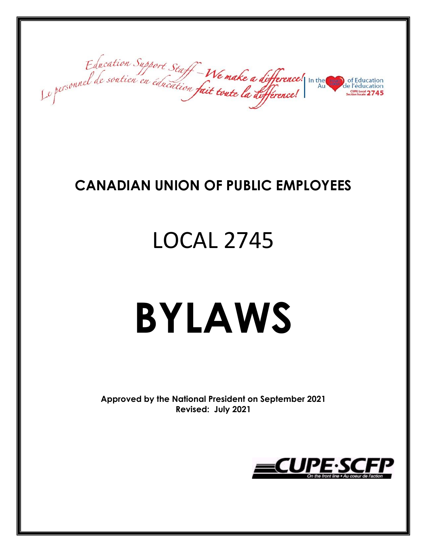Education Support Staff-We make a difference! In the de l'éducation

### **CANADIAN UNION OF PUBLIC EMPLOYEES**

## LOCAL 2745

# **BYLAWS**

**Approved by the National President on September 2021 Revised: July 2021**

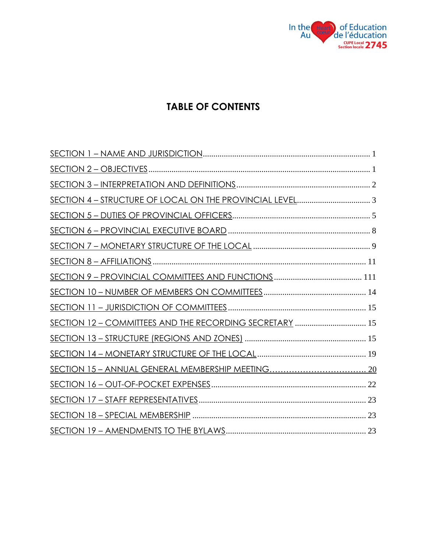

#### **TABLE OF CONTENTS**

| SECTION 12 - COMMITTEES AND THE RECORDING SECRETARY  15 |  |
|---------------------------------------------------------|--|
|                                                         |  |
|                                                         |  |
|                                                         |  |
|                                                         |  |
|                                                         |  |
|                                                         |  |
|                                                         |  |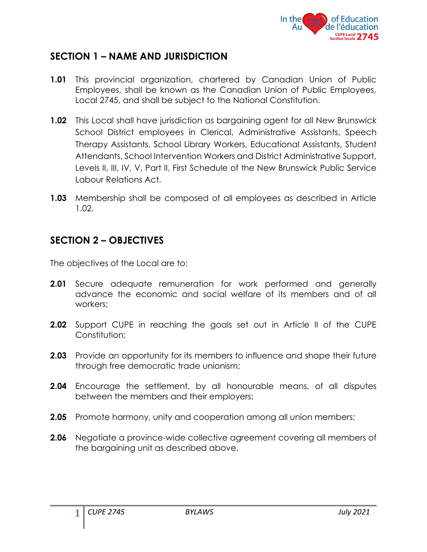

#### <span id="page-2-0"></span>**SECTION 1 – NAME AND JURISDICTION**

- **1.01** This provincial organization, chartered by Canadian Union of Public Employees, shall be known as the Canadian Union of Public Employees, Local 2745, and shall be subject to the National Constitution.
- **1.02** This Local shall have jurisdiction as bargaining agent for all New Brunswick School District employees in Clerical, Administrative Assistants, Speech Therapy Assistants, School Library Workers, Educational Assistants, Student Attendants, School Intervention Workers and District Administrative Support, Levels II, III, IV, V, Part II, First Schedule of the New Brunswick Public Service Labour Relations Act.
- **1.03** Membership shall be composed of all employees as described in Article 1.02.

#### <span id="page-2-1"></span>**SECTION 2 – OBJECTIVES**

The objectives of the Local are to:

- **2.01** Secure adequate remuneration for work performed and generally advance the economic and social welfare of its members and of all workers;
- **2.02** Support CUPE in reaching the goals set out in Article II of the CUPE Constitution:
- **2.03** Provide an opportunity for its members to influence and shape their future through free democratic trade unionism;
- **2.04** Encourage the settlement, by all honourable means, of all disputes between the members and their employers;
- **2.05** Promote harmony, unity and cooperation among all union members;
- **2.06** Negotiate a province-wide collective agreement covering all members of the bargaining unit as described above.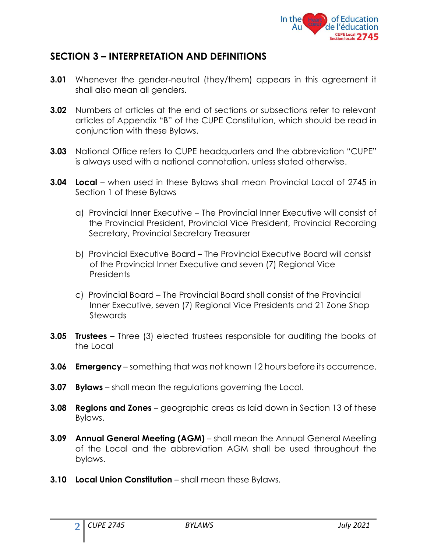

#### <span id="page-3-0"></span>**SECTION 3 – INTERPRETATION AND DEFINITIONS**

- **3.01** Whenever the gender-neutral (they/them) appears in this agreement it shall also mean all genders.
- **3.02** Numbers of articles at the end of sections or subsections refer to relevant articles of Appendix "B" of the CUPE Constitution, which should be read in conjunction with these Bylaws.
- **3.03** National Office refers to CUPE headquarters and the abbreviation "CUPE" is always used with a national connotation, unless stated otherwise.
- **3.04 Local** when used in these Bylaws shall mean Provincial Local of 2745 in Section 1 of these Bylaws
	- a) Provincial Inner Executive The Provincial Inner Executive will consist of the Provincial President, Provincial Vice President, Provincial Recording Secretary, Provincial Secretary Treasurer
	- b) Provincial Executive Board The Provincial Executive Board will consist of the Provincial Inner Executive and seven (7) Regional Vice **Presidents**
	- c) Provincial Board The Provincial Board shall consist of the Provincial Inner Executive, seven (7) Regional Vice Presidents and 21 Zone Shop Stewards
- **3.05 Trustees** Three (3) elected trustees responsible for auditing the books of the Local
- **3.06 Emergency** something that was not known 12 hours before its occurrence.
- **3.07 Bylaws**  shall mean the regulations governing the Local.
- **3.08 Regions and Zones** geographic areas as laid down in Section 13 of these Bylaws.
- **3.09 Annual General Meeting (AGM)** shall mean the Annual General Meeting of the Local and the abbreviation AGM shall be used throughout the bylaws.
- **3.10 Local Union Constitution** shall mean these Bylaws.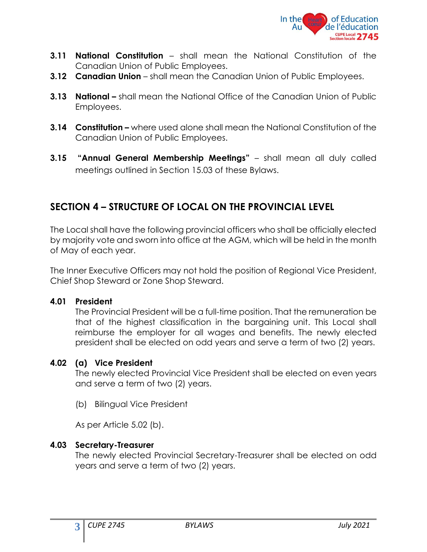

- **3.11 National Constitution**  shall mean the National Constitution of the Canadian Union of Public Employees.
- **3.12 Canadian Union** shall mean the Canadian Union of Public Employees.
- **3.13 National –** shall mean the National Office of the Canadian Union of Public Employees.
- **3.14 Constitution –** where used alone shall mean the National Constitution of the Canadian Union of Public Employees.
- **3.15 "Annual General Membership Meetings"**  shall mean all duly called meetings outlined in Section 15.03 of these Bylaws.

#### <span id="page-4-0"></span>**SECTION 4 – STRUCTURE OF LOCAL ON THE PROVINCIAL LEVEL**

The Local shall have the following provincial officers who shall be officially elected by majority vote and sworn into office at the AGM, which will be held in the month of May of each year.

The Inner Executive Officers may not hold the position of Regional Vice President, Chief Shop Steward or Zone Shop Steward.

#### **4.01 President**

The Provincial President will be a full-time position. That the remuneration be that of the highest classification in the bargaining unit. This Local shall reimburse the employer for all wages and benefits. The newly elected president shall be elected on odd years and serve a term of two (2) years.

#### **4.02 (a) Vice President**

The newly elected Provincial Vice President shall be elected on even years and serve a term of two (2) years.

(b) Bilingual Vice President

As per Article 5.02 (b).

#### **4.03 Secretary-Treasurer**

The newly elected Provincial Secretary-Treasurer shall be elected on odd years and serve a term of two (2) years.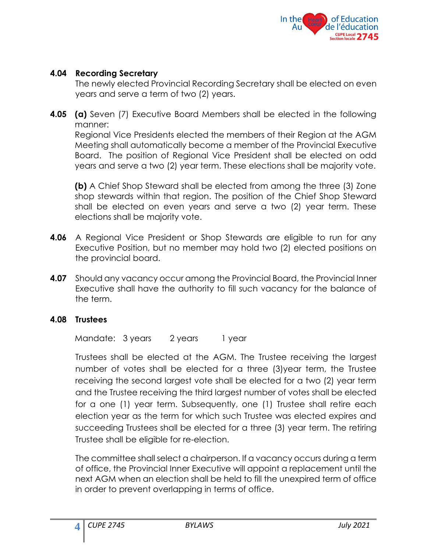

#### **4.04 Recording Secretary**

The newly elected Provincial Recording Secretary shall be elected on even years and serve a term of two (2) years.

**4.05 (a)** Seven (7) Executive Board Members shall be elected in the following manner: Regional Vice Presidents elected the members of their Region at the AGM

Meeting shall automatically become a member of the Provincial Executive Board. The position of Regional Vice President shall be elected on odd years and serve a two (2) year term. These elections shall be majority vote.

**(b)** A Chief Shop Steward shall be elected from among the three (3) Zone shop stewards within that region. The position of the Chief Shop Steward shall be elected on even years and serve a two (2) year term. These elections shall be majority vote.

- **4.06** A Regional Vice President or Shop Stewards are eligible to run for any Executive Position, but no member may hold two (2) elected positions on the provincial board.
- **4.07** Should any vacancy occur among the Provincial Board, the Provincial Inner Executive shall have the authority to fill such vacancy for the balance of the term.

#### **4.08 Trustees**

Mandate: 3 years 2 years 1 year

Trustees shall be elected at the AGM. The Trustee receiving the largest number of votes shall be elected for a three (3)year term, the Trustee receiving the second largest vote shall be elected for a two (2) year term and the Trustee receiving the third largest number of votes shall be elected for a one (1) year term. Subsequently, one (1) Trustee shall retire each election year as the term for which such Trustee was elected expires and succeeding Trustees shall be elected for a three (3) year term. The retiring Trustee shall be eligible for re-election.

The committee shall select a chairperson. If a vacancy occurs during a term of office, the Provincial Inner Executive will appoint a replacement until the next AGM when an election shall be held to fill the unexpired term of office in order to prevent overlapping in terms of office.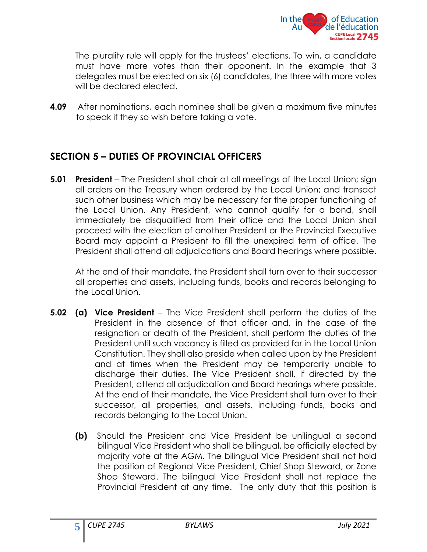

The plurality rule will apply for the trustees' elections. To win, a candidate must have more votes than their opponent. In the example that 3 delegates must be elected on six (6) candidates, the three with more votes will be declared elected.

**4.09** After nominations, each nominee shall be given a maximum five minutes to speak if they so wish before taking a vote.

#### <span id="page-6-0"></span>**SECTION 5 – DUTIES OF PROVINCIAL OFFICERS**

**5.01 President** – The President shall chair at all meetings of the Local Union; sign all orders on the Treasury when ordered by the Local Union; and transact such other business which may be necessary for the proper functioning of the Local Union. Any President, who cannot qualify for a bond, shall immediately be disqualified from their office and the Local Union shall proceed with the election of another President or the Provincial Executive Board may appoint a President to fill the unexpired term of office. The President shall attend all adjudications and Board hearings where possible.

At the end of their mandate, the President shall turn over to their successor all properties and assets, including funds, books and records belonging to the Local Union.

- **5.02 (a) Vice President** The Vice President shall perform the duties of the President in the absence of that officer and, in the case of the resignation or death of the President, shall perform the duties of the President until such vacancy is filled as provided for in the Local Union Constitution. They shall also preside when called upon by the President and at times when the President may be temporarily unable to discharge their duties. The Vice President shall, if directed by the President, attend all adjudication and Board hearings where possible. At the end of their mandate, the Vice President shall turn over to their successor, all properties, and assets, including funds, books and records belonging to the Local Union.
	- **(b)** Should the President and Vice President be unilingual a second bilingual Vice President who shall be bilingual, be officially elected by majority vote at the AGM. The bilingual Vice President shall not hold the position of Regional Vice President, Chief Shop Steward, or Zone Shop Steward. The bilingual Vice President shall not replace the Provincial President at any time. The only duty that this position is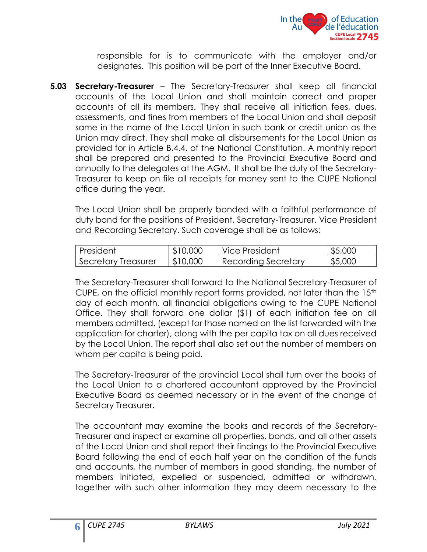

responsible for is to communicate with the employer and/or designates. This position will be part of the Inner Executive Board.

**5.03 Secretary-Treasurer** – The Secretary-Treasurer shall keep all financial accounts of the Local Union and shall maintain correct and proper accounts of all its members. They shall receive all initiation fees, dues, assessments, and fines from members of the Local Union and shall deposit same in the name of the Local Union in such bank or credit union as the Union may direct. They shall make all disbursements for the Local Union as provided for in Article B.4.4. of the National Constitution. A monthly report shall be prepared and presented to the Provincial Executive Board and annually to the delegates at the AGM. It shall be the duty of the Secretary-Treasurer to keep on file all receipts for money sent to the CUPE National office during the year.

The Local Union shall be properly bonded with a faithful performance of duty bond for the positions of President, Secretary-Treasurer, Vice President and Recording Secretary. Such coverage shall be as follows:

| President           | \$10,000 | ı Vice President    | \$5,000 |
|---------------------|----------|---------------------|---------|
| Secretary Treasurer | \$10,000 | Recording Secretary | \$5,000 |

The Secretary-Treasurer shall forward to the National Secretary-Treasurer of CUPE, on the official monthly report forms provided, not later than the  $15<sup>th</sup>$ day of each month, all financial obligations owing to the CUPE National Office. They shall forward one dollar (\$1) of each initiation fee on all members admitted, (except for those named on the list forwarded with the application for charter), along with the per capita tax on all dues received by the Local Union. The report shall also set out the number of members on whom per capita is being paid.

The Secretary-Treasurer of the provincial Local shall turn over the books of the Local Union to a chartered accountant approved by the Provincial Executive Board as deemed necessary or in the event of the change of Secretary Treasurer.

The accountant may examine the books and records of the Secretary-Treasurer and inspect or examine all properties, bonds, and all other assets of the Local Union and shall report their findings to the Provincial Executive Board following the end of each half year on the condition of the funds and accounts, the number of members in good standing, the number of members initiated, expelled or suspended, admitted or withdrawn, together with such other information they may deem necessary to the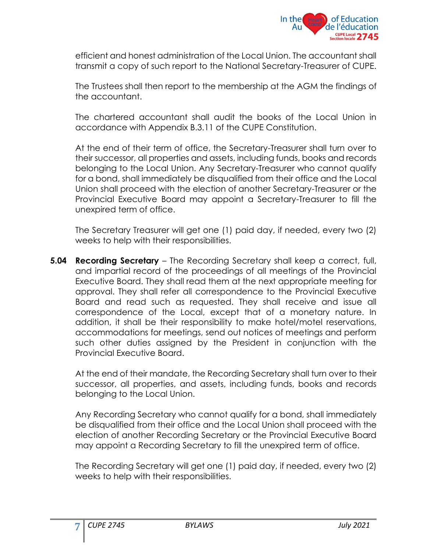

efficient and honest administration of the Local Union. The accountant shall transmit a copy of such report to the National Secretary-Treasurer of CUPE.

The Trustees shall then report to the membership at the AGM the findings of the accountant.

The chartered accountant shall audit the books of the Local Union in accordance with Appendix B.3.11 of the CUPE Constitution.

At the end of their term of office, the Secretary-Treasurer shall turn over to their successor, all properties and assets, including funds, books and records belonging to the Local Union. Any Secretary-Treasurer who cannot qualify for a bond, shall immediately be disqualified from their office and the Local Union shall proceed with the election of another Secretary-Treasurer or the Provincial Executive Board may appoint a Secretary-Treasurer to fill the unexpired term of office.

The Secretary Treasurer will get one (1) paid day, if needed, every two (2) weeks to help with their responsibilities.

**5.04 Recording Secretary** – The Recording Secretary shall keep a correct, full, and impartial record of the proceedings of all meetings of the Provincial Executive Board. They shall read them at the next appropriate meeting for approval. They shall refer all correspondence to the Provincial Executive Board and read such as requested. They shall receive and issue all correspondence of the Local, except that of a monetary nature. In addition, it shall be their responsibility to make hotel/motel reservations, accommodations for meetings, send out notices of meetings and perform such other duties assigned by the President in conjunction with the Provincial Executive Board.

At the end of their mandate, the Recording Secretary shall turn over to their successor, all properties, and assets, including funds, books and records belonging to the Local Union.

Any Recording Secretary who cannot qualify for a bond, shall immediately be disqualified from their office and the Local Union shall proceed with the election of another Recording Secretary or the Provincial Executive Board may appoint a Recording Secretary to fill the unexpired term of office.

The Recording Secretary will get one (1) paid day, if needed, every two (2) weeks to help with their responsibilities.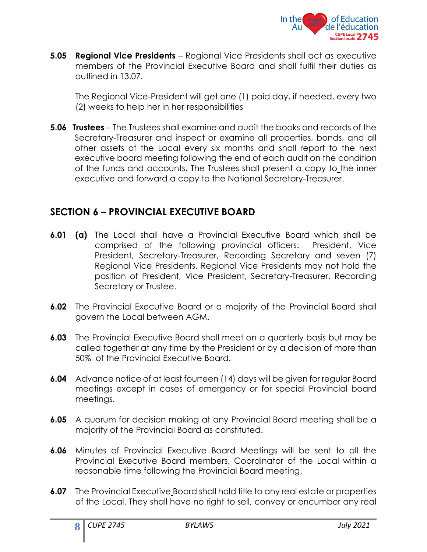

**5.05 Regional Vice Presidents** – Regional Vice Presidents shall act as executive members of the Provincial Executive Board and shall fulfil their duties as outlined in 13.07.

The Regional Vice-President will get one (1) paid day, if needed, every two (2) weeks to help her in her responsibilities

**5.06 Trustees** – The Trustees shall examine and audit the books and records of the Secretary-Treasurer and inspect or examine all properties, bonds, and all other assets of the Local every six months and shall report to the next executive board meeting following the end of each audit on the condition of the funds and accounts**.** The Trustees shall present a copy to the inner executive and forward a copy to the National Secretary-Treasurer.

#### <span id="page-9-0"></span>**SECTION 6 – PROVINCIAL EXECUTIVE BOARD**

- **6.01 (a)** The Local shall have a Provincial Executive Board which shall be comprised of the following provincial officers: President, Vice President, Secretary-Treasurer, Recording Secretary and seven (7) Regional Vice Presidents. Regional Vice Presidents may not hold the position of President, Vice President, Secretary-Treasurer, Recording Secretary or Trustee.
- **6.02** The Provincial Executive Board or a majority of the Provincial Board shall govern the Local between AGM.
- **6.03** The Provincial Executive Board shall meet on a quarterly basis but may be called together at any time by the President or by a decision of more than 50% of the Provincial Executive Board.
- **6.04** Advance notice of at least fourteen (14) days will be given for regular Board meetings except in cases of emergency or for special Provincial board meetings.
- **6.05** A quorum for decision making at any Provincial Board meeting shall be a majority of the Provincial Board as constituted.
- **6.06** Minutes of Provincial Executive Board Meetings will be sent to all the Provincial Executive Board members, Coordinator of the Local within a reasonable time following the Provincial Board meeting.
- **6.07** The Provincial Executive Board shall hold title to any real estate or properties of the Local. They shall have no right to sell, convey or encumber any real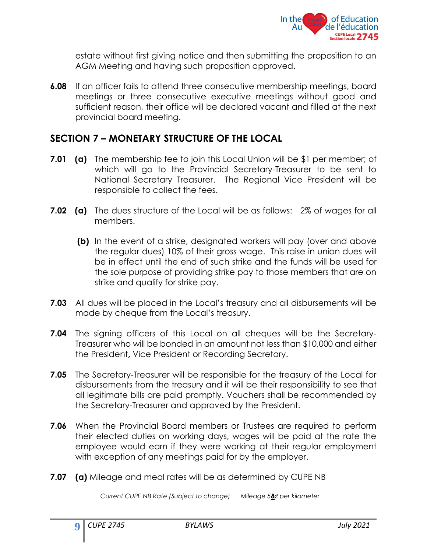

estate without first giving notice and then submitting the proposition to an AGM Meeting and having such proposition approved.

**6.08** If an officer fails to attend three consecutive membership meetings, board meetings or three consecutive executive meetings without good and sufficient reason, their office will be declared vacant and filled at the next provincial board meeting.

#### <span id="page-10-0"></span>**SECTION 7 – MONETARY STRUCTURE OF THE LOCAL**

- **7.01 (a)** The membership fee to join this Local Union will be \$1 per member; of which will go to the Provincial Secretary-Treasurer to be sent to National Secretary Treasurer. The Regional Vice President will be responsible to collect the fees.
- **7.02 (a)** The dues structure of the Local will be as follows:2% of wages for all members.
	- **(b)** In the event of a strike, designated workers will pay (over and above the regular dues) 10% of their gross wage. This raise in union dues will be in effect until the end of such strike and the funds will be used for the sole purpose of providing strike pay to those members that are on strike and qualify for strike pay.
- **7.03** All dues will be placed in the Local's treasury and all disbursements will be made by cheque from the Local's treasury.
- **7.04** The signing officers of this Local on all cheques will be the Secretary-Treasurer who will be bonded in an amount not less than \$10,000 and either the President**,** Vice President or Recording Secretary.
- **7.05** The Secretary-Treasurer will be responsible for the treasury of the Local for disbursements from the treasury and it will be their responsibility to see that all legitimate bills are paid promptly. Vouchers shall be recommended by the Secretary-Treasurer and approved by the President.
- **7.06** When the Provincial Board members or Trustees are required to perform their elected duties on working days, wages will be paid at the rate the employee would earn if they were working at their regular employment with exception of any meetings paid for by the employer.
- **7.07 (a)** Mileage and meal rates will be as determined by CUPE NB

*Current CUPE NB Rate (Subject to change) Mileage 58¢ per kilometer*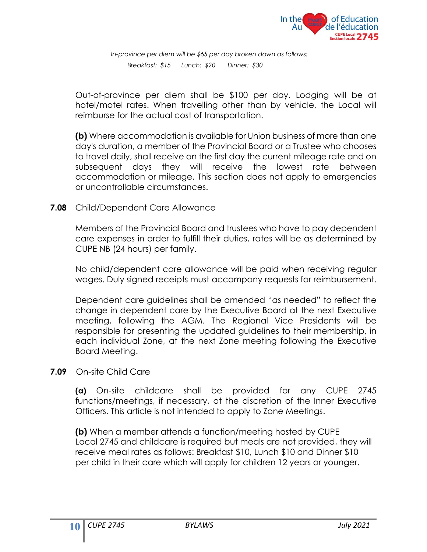

 *In-province per diem will be \$65 per day broken down as follows: Breakfast: \$15 Lunch: \$20 Dinner: \$30*

Out-of-province per diem shall be \$100 per day. Lodging will be at hotel/motel rates. When travelling other than by vehicle, the Local will reimburse for the actual cost of transportation.

**(b)** Where accommodation is available for Union business of more than one day's duration, a member of the Provincial Board or a Trustee who chooses to travel daily, shall receive on the first day the current mileage rate and on subsequent days they will receive the lowest rate between accommodation or mileage. This section does not apply to emergencies or uncontrollable circumstances.

**7.08** Child/Dependent Care Allowance

Members of the Provincial Board and trustees who have to pay dependent care expenses in order to fulfill their duties, rates will be as determined by CUPE NB (24 hours) per family.

No child/dependent care allowance will be paid when receiving regular wages. Duly signed receipts must accompany requests for reimbursement.

Dependent care guidelines shall be amended "as needed" to reflect the change in dependent care by the Executive Board at the next Executive meeting, following the AGM. The Regional Vice Presidents will be responsible for presenting the updated guidelines to their membership, in each individual Zone, at the next Zone meeting following the Executive Board Meeting.

#### **7.09** On-site Child Care

**(a)** On-site childcare shall be provided for any CUPE 2745 functions/meetings, if necessary, at the discretion of the Inner Executive Officers. This article is not intended to apply to Zone Meetings.

**(b)** When a member attends a function/meeting hosted by CUPE Local 2745 and childcare is required but meals are not provided, they will receive meal rates as follows: Breakfast \$10, Lunch \$10 and Dinner \$10 per child in their care which will apply for children 12 years or younger.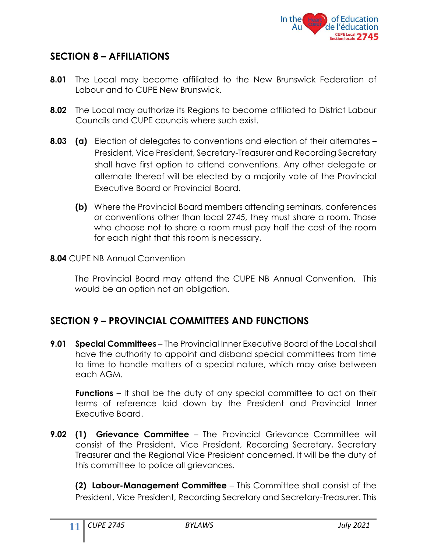

#### <span id="page-12-0"></span>**SECTION 8 – AFFILIATIONS**

- **8.01** The Local may become affiliated to the New Brunswick Federation of Labour and to CUPE New Brunswick.
- **8.02** The Local may authorize its Regions to become affiliated to District Labour Councils and CUPE councils where such exist.
- <span id="page-12-1"></span>**8.03 (a)** Election of delegates to conventions and election of their alternates – President, Vice President, Secretary-Treasurer and Recording Secretary shall have first option to attend conventions. Any other delegate or alternate thereof will be elected by a majority vote of the Provincial Executive Board or Provincial Board.
	- **(b)** Where the Provincial Board members attending seminars, conferences or conventions other than local 2745, they must share a room. Those who choose not to share a room must pay half the cost of the room for each night that this room is necessary.

#### **8.04** CUPE NB Annual Convention

The Provincial Board may attend the CUPE NB Annual Convention. This would be an option not an obligation.

#### **SECTION 9 – PROVINCIAL COMMITTEES AND FUNCTIONS**

**9.01 Special Committees** – The Provincial Inner Executive Board of the Local shall have the authority to appoint and disband special committees from time to time to handle matters of a special nature, which may arise between each AGM.

**Functions** – It shall be the duty of any special committee to act on their terms of reference laid down by the President and Provincial Inner Executive Board.

**9.02 (1) Grievance Committee** – The Provincial Grievance Committee will consist of the President, Vice President, Recording Secretary, Secretary Treasurer and the Regional Vice President concerned. It will be the duty of this committee to police all grievances.

**(2) Labour-Management Committee** – This Committee shall consist of the President, Vice President, Recording Secretary and Secretary-Treasurer. This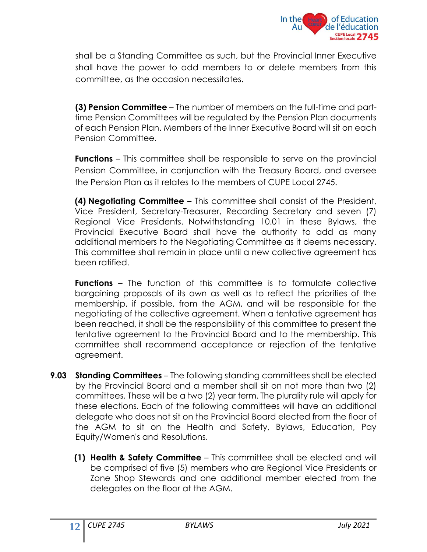

shall be a Standing Committee as such, but the Provincial Inner Executive shall have the power to add members to or delete members from this committee, as the occasion necessitates.

**(3) Pension Committee** – The number of members on the full-time and parttime Pension Committees will be regulated by the Pension Plan documents of each Pension Plan. Members of the Inner Executive Board will sit on each Pension Committee.

**Functions** – This committee shall be responsible to serve on the provincial Pension Committee, in conjunction with the Treasury Board, and oversee the Pension Plan as it relates to the members of CUPE Local 2745.

**(4) Negotiating Committee –** This committee shall consist of the President, Vice President, Secretary-Treasurer, Recording Secretary and seven (7) Regional Vice Presidents. Notwithstanding 10.01 in these Bylaws, the Provincial Executive Board shall have the authority to add as many additional members to the Negotiating Committee as it deems necessary. This committee shall remain in place until a new collective agreement has been ratified.

**Functions** – The function of this committee is to formulate collective bargaining proposals of its own as well as to reflect the priorities of the membership, if possible, from the AGM, and will be responsible for the negotiating of the collective agreement. When a tentative agreement has been reached, it shall be the responsibility of this committee to present the tentative agreement to the Provincial Board and to the membership. This committee shall recommend acceptance or rejection of the tentative agreement.

- **9.03 Standing Committees** The following standing committees shall be elected by the Provincial Board and a member shall sit on not more than two (2) committees. These will be a two (2) year term. The plurality rule will apply for these elections. Each of the following committees will have an additional delegate who does not sit on the Provincial Board elected from the floor of the AGM to sit on the Health and Safety, Bylaws, Education, Pay Equity/Women's and Resolutions.
	- **(1) Health & Safety Committee** This committee shall be elected and will be comprised of five (5) members who are Regional Vice Presidents or Zone Shop Stewards and one additional member elected from the delegates on the floor at the AGM.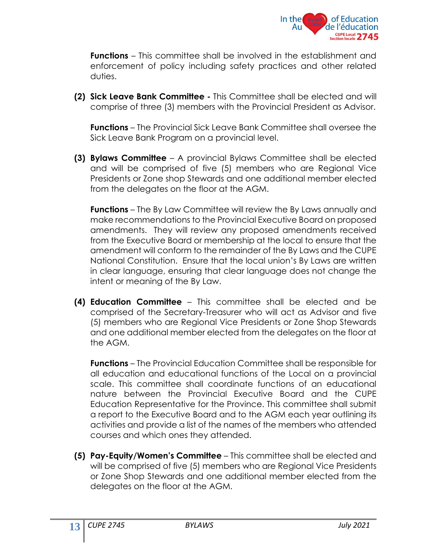

**Functions** – This committee shall be involved in the establishment and enforcement of policy including safety practices and other related duties.

**(2) Sick Leave Bank Committee -** This Committee shall be elected and will comprise of three (3) members with the Provincial President as Advisor.

**Functions** – The Provincial Sick Leave Bank Committee shall oversee the Sick Leave Bank Program on a provincial level.

**(3) Bylaws Committee** – A provincial Bylaws Committee shall be elected and will be comprised of five (5) members who are Regional Vice Presidents or Zone shop Stewards and one additional member elected from the delegates on the floor at the AGM.

**Functions** – The By Law Committee will review the By Laws annually and make recommendations to the Provincial Executive Board on proposed amendments. They will review any proposed amendments received from the Executive Board or membership at the local to ensure that the amendment will conform to the remainder of the By Laws and the CUPE National Constitution. Ensure that the local union's By Laws are written in clear language, ensuring that clear language does not change the intent or meaning of the By Law.

**(4) Education Committee** – This committee shall be elected and be comprised of the Secretary-Treasurer who will act as Advisor and five (5) members who are Regional Vice Presidents or Zone Shop Stewards and one additional member elected from the delegates on the floor at the AGM.

**Functions** – The Provincial Education Committee shall be responsible for all education and educational functions of the Local on a provincial scale. This committee shall coordinate functions of an educational nature between the Provincial Executive Board and the CUPE Education Representative for the Province. This committee shall submit a report to the Executive Board and to the AGM each year outlining its activities and provide a list of the names of the members who attended courses and which ones they attended.

**(5) Pay-Equity/Women's Committee** – This committee shall be elected and will be comprised of five (5) members who are Regional Vice Presidents or Zone Shop Stewards and one additional member elected from the delegates on the floor at the AGM.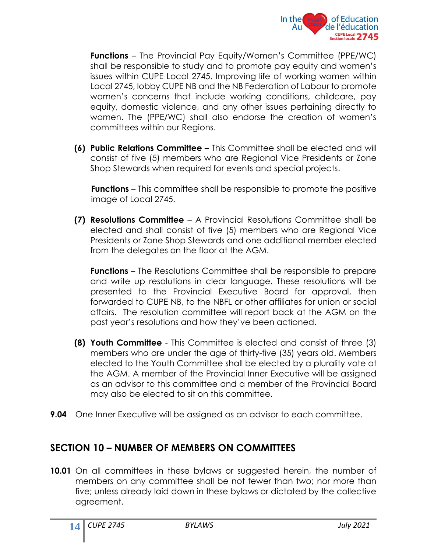

**Functions** – The Provincial Pay Equity/Women's Committee (PPE/WC) shall be responsible to study and to promote pay equity and women's issues within CUPE Local 2745. Improving life of working women within Local 2745, lobby CUPE NB and the NB Federation of Labour to promote women's concerns that include working conditions, childcare, pay equity, domestic violence, and any other issues pertaining directly to women. The (PPE/WC) shall also endorse the creation of women's committees within our Regions.

**(6) Public Relations Committee** – This Committee shall be elected and will consist of five (5) members who are Regional Vice Presidents or Zone Shop Stewards when required for events and special projects.

**Functions** – This committee shall be responsible to promote the positive image of Local 2745.

**(7) Resolutions Committee** – A Provincial Resolutions Committee shall be elected and shall consist of five (5) members who are Regional Vice Presidents or Zone Shop Stewards and one additional member elected from the delegates on the floor at the AGM.

**Functions** – The Resolutions Committee shall be responsible to prepare and write up resolutions in clear language. These resolutions will be presented to the Provincial Executive Board for approval, then forwarded to CUPE NB, to the NBFL or other affiliates for union or social affairs. The resolution committee will report back at the AGM on the past year's resolutions and how they've been actioned.

- **(8) Youth Committee** This Committee is elected and consist of three (3) members who are under the age of thirty-five (35) years old. Members elected to the Youth Committee shall be elected by a plurality vote at the AGM. A member of the Provincial Inner Executive will be assigned as an advisor to this committee and a member of the Provincial Board may also be elected to sit on this committee.
- **9.04** One Inner Executive will be assigned as an advisor to each committee.

#### <span id="page-15-0"></span>**SECTION 10 – NUMBER OF MEMBERS ON COMMITTEES**

**10.01** On all committees in these bylaws or suggested herein, the number of members on any committee shall be not fewer than two; nor more than five; unless already laid down in these bylaws or dictated by the collective agreement.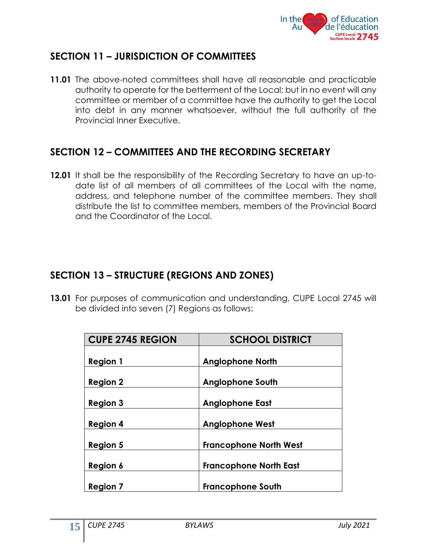

#### <span id="page-16-0"></span>**SECTION 11 – JURISDICTION OF COMMITTEES**

**11.01** The above-noted committees shall have all reasonable and practicable authority to operate for the betterment of the Local; but in no event will any committee or member of a committee have the authority to get the Local into debt in any manner whatsoever, without the full authority of the Provincial Inner Executive.

#### <span id="page-16-1"></span>**SECTION 12 – COMMITTEES AND THE RECORDING SECRETARY**

**12.01** It shall be the responsibility of the Recording Secretary to have an up-todate list of all members of all committees of the Local with the name, address, and telephone number of the committee members. They shall distribute the list to committee members, members of the Provincial Board and the Coordinator of the Local.

#### <span id="page-16-2"></span>**SECTION 13 – STRUCTURE (REGIONS AND ZONES)**

**13.01** For purposes of communication and understanding, CUPE Local 2745 will be divided into seven (7) Regions as follows:

| <b>CUPE 2745 REGION</b> | <b>SCHOOL DISTRICT</b>        |
|-------------------------|-------------------------------|
|                         |                               |
| <b>Region 1</b>         | <b>Anglophone North</b>       |
|                         |                               |
| <b>Region 2</b>         | <b>Anglophone South</b>       |
|                         |                               |
| <b>Region 3</b>         | <b>Anglophone East</b>        |
|                         |                               |
| <b>Region 4</b>         | <b>Anglophone West</b>        |
| <b>Region 5</b>         | <b>Francophone North West</b> |
|                         |                               |
| Region 6                | <b>Francophone North East</b> |
|                         |                               |
| <b>Region 7</b>         | <b>Francophone South</b>      |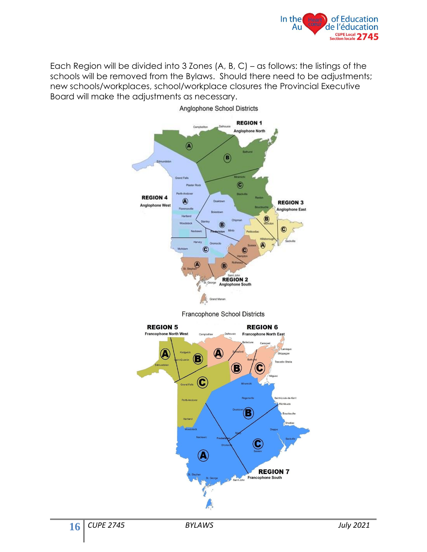

Each Region will be divided into 3 Zones (A, B, C) – as follows: the listings of the schools will be removed from the Bylaws. Should there need to be adjustments; new schools/workplaces, school/workplace closures the Provincial Executive Board will make the adjustments as necessary.



Anglophone School Districts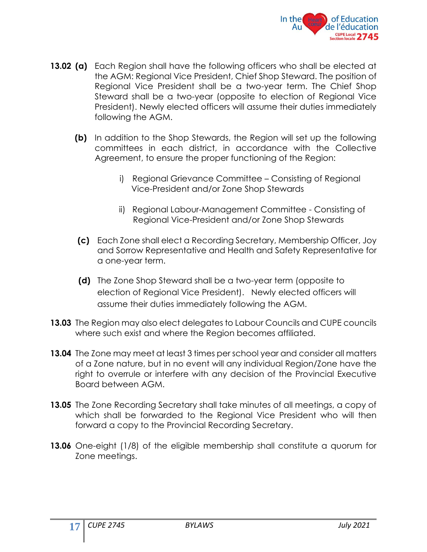

- **13.02 (a)** Each Region shall have the following officers who shall be elected at the AGM: Regional Vice President, Chief Shop Steward. The position of Regional Vice President shall be a two-year term. The Chief Shop Steward shall be a two-year (opposite to election of Regional Vice President). Newly elected officers will assume their duties immediately following the AGM.
	- **(b)** In addition to the Shop Stewards, the Region will set up the following committees in each district, in accordance with the Collective Agreement, to ensure the proper functioning of the Region:
		- i) Regional Grievance Committee Consisting of Regional Vice-President and/or Zone Shop Stewards
		- ii) Regional Labour-Management Committee Consisting of Regional Vice-President and/or Zone Shop Stewards
	- **(c)** Each Zone shall elect a Recording Secretary, Membership Officer, Joy and Sorrow Representative and Health and Safety Representative for a one-year term.
	- **(d)** The Zone Shop Steward shall be a two-year term (opposite to election of Regional Vice President). Newly elected officers will assume their duties immediately following the AGM.
- **13.03** The Region may also elect delegates to Labour Councils and CUPE councils where such exist and where the Region becomes affiliated.
- **13.04** The Zone may meet at least 3 times per school year and consider all matters of a Zone nature, but in no event will any individual Region/Zone have the right to overrule or interfere with any decision of the Provincial Executive Board between AGM.
- **13.05** The Zone Recording Secretary shall take minutes of all meetings, a copy of which shall be forwarded to the Regional Vice President who will then forward a copy to the Provincial Recording Secretary.
- **13.06** One-eight (1/8) of the eligible membership shall constitute a quorum for Zone meetings.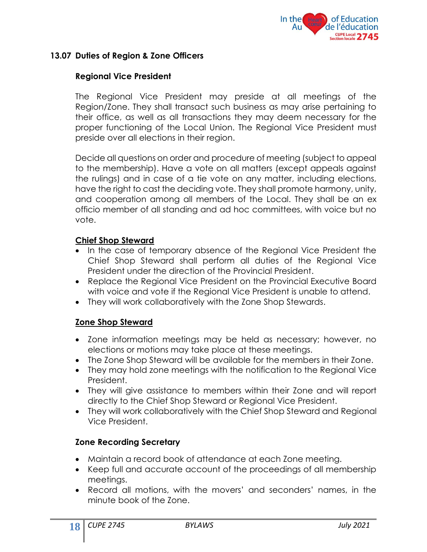

#### **13.07 Duties of Region & Zone Officers**

#### **Regional Vice President**

The Regional Vice President may preside at all meetings of the Region/Zone. They shall transact such business as may arise pertaining to their office, as well as all transactions they may deem necessary for the proper functioning of the Local Union. The Regional Vice President must preside over all elections in their region.

Decide all questions on order and procedure of meeting (subject to appeal to the membership). Have a vote on all matters (except appeals against the rulings) and in case of a tie vote on any matter, including elections, have the right to cast the deciding vote. They shall promote harmony, unity, and cooperation among all members of the Local. They shall be an ex officio member of all standing and ad hoc committees, with voice but no vote.

#### **Chief Shop Steward**

- In the case of temporary absence of the Regional Vice President the Chief Shop Steward shall perform all duties of the Regional Vice President under the direction of the Provincial President.
- Replace the Regional Vice President on the Provincial Executive Board with voice and vote if the Regional Vice President is unable to attend.
- They will work collaboratively with the Zone Shop Stewards.

#### **Zone Shop Steward**

- Zone information meetings may be held as necessary; however, no elections or motions may take place at these meetings.
- The Zone Shop Steward will be available for the members in their Zone.
- They may hold zone meetings with the notification to the Regional Vice President.
- They will give assistance to members within their Zone and will report directly to the Chief Shop Steward or Regional Vice President.
- They will work collaboratively with the Chief Shop Steward and Regional Vice President.

#### **Zone Recording Secretary**

- Maintain a record book of attendance at each Zone meeting.
- Keep full and accurate account of the proceedings of all membership meetings.
- Record all motions, with the movers' and seconders' names, in the minute book of the Zone.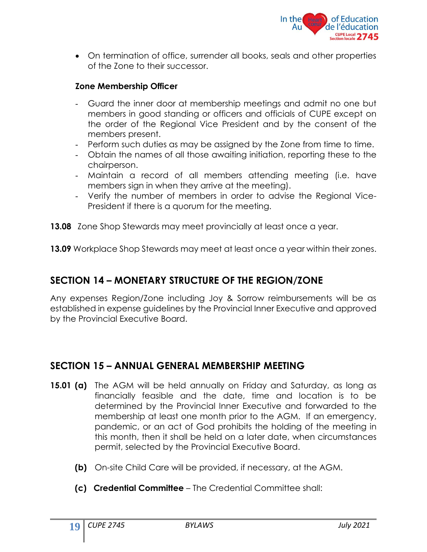

• On termination of office, surrender all books, seals and other properties of the Zone to their successor.

#### **Zone Membership Officer**

- Guard the inner door at membership meetings and admit no one but members in good standing or officers and officials of CUPE except on the order of the Regional Vice President and by the consent of the members present.
- Perform such duties as may be assigned by the Zone from time to time.
- Obtain the names of all those awaiting initiation, reporting these to the chairperson.
- Maintain a record of all members attending meeting (i.e. have members sign in when they arrive at the meeting).
- Verify the number of members in order to advise the Regional Vice-President if there is a quorum for the meeting.
- <span id="page-20-0"></span>**13.08** Zone Shop Stewards may meet provincially at least once a year.
- **13.09** Workplace Shop Stewards may meet at least once a year within their zones.

#### **SECTION 14 – MONETARY STRUCTURE OF THE REGION/ZONE**

Any expenses Region/Zone including Joy & Sorrow reimbursements will be as established in expense guidelines by the Provincial Inner Executive and approved by the Provincial Executive Board.

#### **SECTION 15 – ANNUAL GENERAL MEMBERSHIP MEETING**

- **15.01 (a)** The AGM will be held annually on Friday and Saturday, as long as financially feasible and the date, time and location is to be determined by the Provincial Inner Executive and forwarded to the membership at least one month prior to the AGM. If an emergency, pandemic, or an act of God prohibits the holding of the meeting in this month, then it shall be held on a later date, when circumstances permit, selected by the Provincial Executive Board.
	- **(b)** On-site Child Care will be provided, if necessary, at the AGM.
	- **(c) Credential Committee** The Credential Committee shall: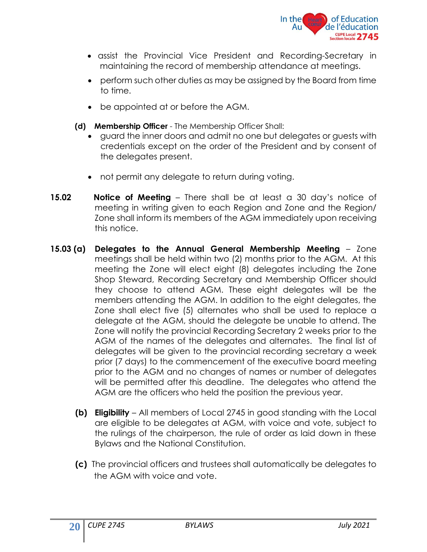

- assist the Provincial Vice President and Recording-Secretary in maintaining the record of membership attendance at meetings.
- perform such other duties as may be assigned by the Board from time to time.
- be appointed at or before the AGM.
- **(d) Membership Officer**  The Membership Officer Shall:
	- guard the inner doors and admit no one but delegates or guests with credentials except on the order of the President and by consent of the delegates present.
	- not permit any delegate to return during voting.
- **15.02 Notice of Meeting** There shall be at least a 30 day's notice of meeting in writing given to each Region and Zone and the Region/ Zone shall inform its members of the AGM immediately upon receiving this notice.
- **15.03 (a) Delegates to the Annual General Membership Meeting** Zone meetings shall be held within two (2) months prior to the AGM. At this meeting the Zone will elect eight (8) delegates including the Zone Shop Steward, Recording Secretary and Membership Officer should they choose to attend AGM. These eight delegates will be the members attending the AGM. In addition to the eight delegates, the Zone shall elect five (5) alternates who shall be used to replace a delegate at the AGM, should the delegate be unable to attend. The Zone will notify the provincial Recording Secretary 2 weeks prior to the AGM of the names of the delegates and alternates. The final list of delegates will be given to the provincial recording secretary a week prior (7 days) to the commencement of the executive board meeting prior to the AGM and no changes of names or number of delegates will be permitted after this deadline. The delegates who attend the AGM are the officers who held the position the previous year.
	- **(b) Eligibility** All members of Local 2745 in good standing with the Local are eligible to be delegates at AGM, with voice and vote, subject to the rulings of the chairperson, the rule of order as laid down in these Bylaws and the National Constitution.
	- **(c)** The provincial officers and trustees shall automatically be delegates to the AGM with voice and vote.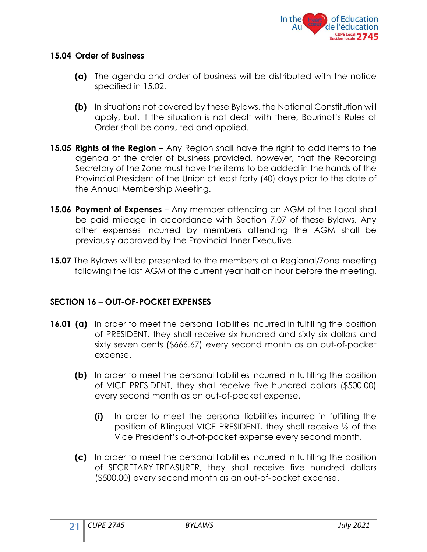

#### **15.04 Order of Business**

- **(a)** The agenda and order of business will be distributed with the notice specified in 15.02.
- **(b)** In situations not covered by these Bylaws, the National Constitution will apply, but, if the situation is not dealt with there, Bourinot's Rules of Order shall be consulted and applied.
- **15.05 Rights of the Region** Any Region shall have the right to add items to the agenda of the order of business provided, however, that the Recording Secretary of the Zone must have the items to be added in the hands of the Provincial President of the Union at least forty (40) days prior to the date of the Annual Membership Meeting.
- **15.06 Payment of Expenses** Any member attending an AGM of the Local shall be paid mileage in accordance with Section 7.07 of these Bylaws. Any other expenses incurred by members attending the AGM shall be previously approved by the Provincial Inner Executive.
- **15.07** The Bylaws will be presented to the members at a Regional/Zone meeting following the last AGM of the current year half an hour before the meeting.

#### <span id="page-22-0"></span>**SECTION 16 – OUT-OF-POCKET EXPENSES**

- **16.01 (a)** In order to meet the personal liabilities incurred in fulfilling the position of PRESIDENT, they shall receive six hundred and sixty six dollars and sixty seven cents (\$666.67) every second month as an out-of-pocket expense.
	- **(b)** In order to meet the personal liabilities incurred in fulfilling the position of VICE PRESIDENT, they shall receive five hundred dollars (\$500.00) every second month as an out-of-pocket expense.
		- **(i)** In order to meet the personal liabilities incurred in fulfilling the position of Bilingual VICE PRESIDENT, they shall receive ½ of the Vice President's out-of-pocket expense every second month.
	- **(c)** In order to meet the personal liabilities incurred in fulfilling the position of SECRETARY-TREASURER, they shall receive five hundred dollars (\$500.00) every second month as an out-of-pocket expense.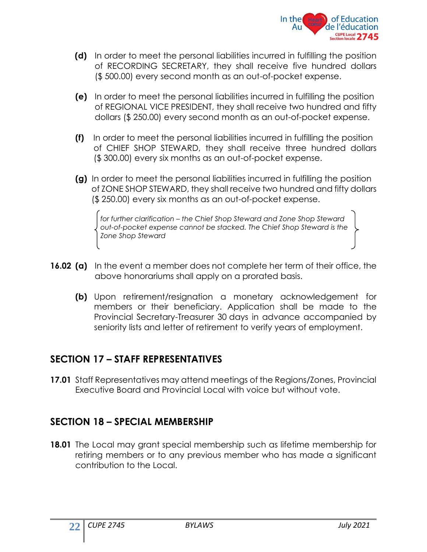

- **(d)** In order to meet the personal liabilities incurred in fulfilling the position of RECORDING SECRETARY, they shall receive five hundred dollars (\$ 500.00) every second month as an out-of-pocket expense.
- **(e)** In order to meet the personal liabilities incurred in fulfilling the position of REGIONAL VICE PRESIDENT, they shall receive two hundred and fifty dollars (\$ 250.00) every second month as an out-of-pocket expense.
- **(f)** In order to meet the personal liabilities incurred in fulfilling the position of CHIEF SHOP STEWARD, they shall receive three hundred dollars (\$ 300.00) every six months as an out-of-pocket expense.
- **(g)** In order to meet the personal liabilities incurred in fulfilling the position of ZONE SHOP STEWARD, they shall receive two hundred and fifty dollars (\$ 250.00) every six months as an out-of-pocket expense.

<span id="page-23-0"></span> *for further clarification – the Chief Shop Steward and Zone Shop Steward out-of-pocket expense cannot be stacked. The Chief Shop Steward is the Zone Shop Steward* 

- **16.02 (a)** In the event a member does not complete her term of their office, the above honorariums shall apply on a prorated basis.
	- **(b)** Upon retirement/resignation a monetary acknowledgement for members or their beneficiary. Application shall be made to the Provincial Secretary-Treasurer 30 days in advance accompanied by seniority lists and letter of retirement to verify years of employment.

#### **SECTION 17 – STAFF REPRESENTATIVES**

<span id="page-23-1"></span>**17.01** Staff Representatives may attend meetings of the Regions/Zones, Provincial Executive Board and Provincial Local with voice but without vote.

#### **SECTION 18 – SPECIAL MEMBERSHIP**

**18.01** The Local may grant special membership such as lifetime membership for retiring members or to any previous member who has made a significant contribution to the Local.